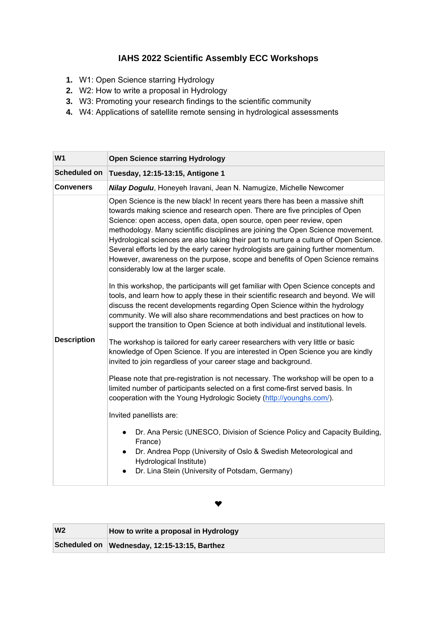## **IAHS 2022 Scientific Assembly ECC Workshops**

- **1.** W1: Open Science starring Hydrology
- **2.** W2: How to write a proposal in Hydrology
- **3.** W3: Promoting your research findings to the scientific community
- **4.** W4: Applications of satellite remote sensing in hydrological assessments

| W <sub>1</sub>     | <b>Open Science starring Hydrology</b>                                                                                                                                                                                                                                                                                                                                                                                                                                                                                                                                                                                            |
|--------------------|-----------------------------------------------------------------------------------------------------------------------------------------------------------------------------------------------------------------------------------------------------------------------------------------------------------------------------------------------------------------------------------------------------------------------------------------------------------------------------------------------------------------------------------------------------------------------------------------------------------------------------------|
| Scheduled on       | Tuesday, 12:15-13:15, Antigone 1                                                                                                                                                                                                                                                                                                                                                                                                                                                                                                                                                                                                  |
| <b>Conveners</b>   | Nilay Dogulu, Honeyeh Iravani, Jean N. Namugize, Michelle Newcomer                                                                                                                                                                                                                                                                                                                                                                                                                                                                                                                                                                |
|                    | Open Science is the new black! In recent years there has been a massive shift<br>towards making science and research open. There are five principles of Open<br>Science: open access, open data, open source, open peer review, open<br>methodology. Many scientific disciplines are joining the Open Science movement.<br>Hydrological sciences are also taking their part to nurture a culture of Open Science.<br>Several efforts led by the early career hydrologists are gaining further momentum.<br>However, awareness on the purpose, scope and benefits of Open Science remains<br>considerably low at the larger scale. |
|                    | In this workshop, the participants will get familiar with Open Science concepts and<br>tools, and learn how to apply these in their scientific research and beyond. We will<br>discuss the recent developments regarding Open Science within the hydrology<br>community. We will also share recommendations and best practices on how to<br>support the transition to Open Science at both individual and institutional levels.                                                                                                                                                                                                   |
| <b>Description</b> | The workshop is tailored for early career researchers with very little or basic<br>knowledge of Open Science. If you are interested in Open Science you are kindly<br>invited to join regardless of your career stage and background.                                                                                                                                                                                                                                                                                                                                                                                             |
|                    | Please note that pre-registration is not necessary. The workshop will be open to a<br>limited number of participants selected on a first come-first served basis. In<br>cooperation with the Young Hydrologic Society (http://younghs.com/).                                                                                                                                                                                                                                                                                                                                                                                      |
|                    | Invited panellists are:                                                                                                                                                                                                                                                                                                                                                                                                                                                                                                                                                                                                           |
|                    | Dr. Ana Persic (UNESCO, Division of Science Policy and Capacity Building,<br>France)<br>Dr. Andrea Popp (University of Oslo & Swedish Meteorological and<br>$\bullet$<br>Hydrological Institute)<br>Dr. Lina Stein (University of Potsdam, Germany)                                                                                                                                                                                                                                                                                                                                                                               |

## ❤

| W <sub>2</sub> | How to write a proposal in Hydrology         |
|----------------|----------------------------------------------|
|                | Scheduled on Wednesday, 12:15-13:15, Barthez |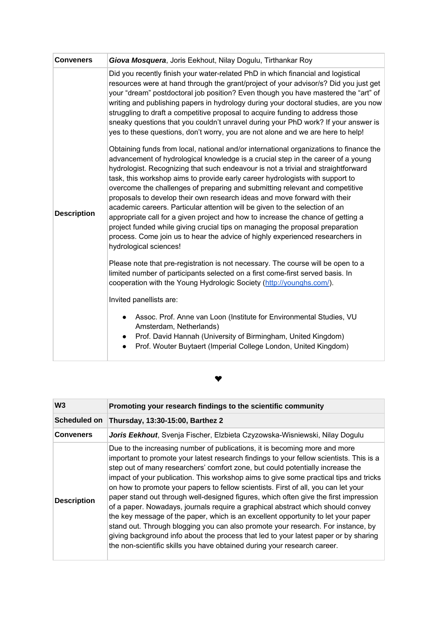| <b>Conveners</b>   | Giova Mosquera, Joris Eekhout, Nilay Dogulu, Tirthankar Roy                                                                                                                                                                                                                                                                                                                                                                                                                                                                                                                                                                                                                                                                                                                                                                                                                                                                                                                                                                                                                                                                                                                                                                                                                                                                                                                                                                                                             |
|--------------------|-------------------------------------------------------------------------------------------------------------------------------------------------------------------------------------------------------------------------------------------------------------------------------------------------------------------------------------------------------------------------------------------------------------------------------------------------------------------------------------------------------------------------------------------------------------------------------------------------------------------------------------------------------------------------------------------------------------------------------------------------------------------------------------------------------------------------------------------------------------------------------------------------------------------------------------------------------------------------------------------------------------------------------------------------------------------------------------------------------------------------------------------------------------------------------------------------------------------------------------------------------------------------------------------------------------------------------------------------------------------------------------------------------------------------------------------------------------------------|
| <b>Description</b> | Did you recently finish your water-related PhD in which financial and logistical<br>resources were at hand through the grant/project of your advisor/s? Did you just get<br>your "dream" postdoctoral job position? Even though you have mastered the "art" of<br>writing and publishing papers in hydrology during your doctoral studies, are you now<br>struggling to draft a competitive proposal to acquire funding to address those<br>sneaky questions that you couldn't unravel during your PhD work? If your answer is<br>yes to these questions, don't worry, you are not alone and we are here to help!<br>Obtaining funds from local, national and/or international organizations to finance the<br>advancement of hydrological knowledge is a crucial step in the career of a young<br>hydrologist. Recognizing that such endeavour is not a trivial and straightforward<br>task, this workshop aims to provide early career hydrologists with support to<br>overcome the challenges of preparing and submitting relevant and competitive<br>proposals to develop their own research ideas and move forward with their<br>academic careers. Particular attention will be given to the selection of an<br>appropriate call for a given project and how to increase the chance of getting a<br>project funded while giving crucial tips on managing the proposal preparation<br>process. Come join us to hear the advice of highly experienced researchers in |
|                    | hydrological sciences!<br>Please note that pre-registration is not necessary. The course will be open to a<br>limited number of participants selected on a first come-first served basis. In<br>cooperation with the Young Hydrologic Society (http://younghs.com/).<br>Invited panellists are:<br>Assoc. Prof. Anne van Loon (Institute for Environmental Studies, VU<br>Amsterdam, Netherlands)<br>Prof. David Hannah (University of Birmingham, United Kingdom)<br>Prof. Wouter Buytaert (Imperial College London, United Kingdom)                                                                                                                                                                                                                                                                                                                                                                                                                                                                                                                                                                                                                                                                                                                                                                                                                                                                                                                                   |

## $\bullet$

| W <sub>3</sub>      | Promoting your research findings to the scientific community                                                                                                                                                                                                                                                                                                                                                                                                                                                                                                                                                                                                                                                                                                                                                                                                                                                                                                   |
|---------------------|----------------------------------------------------------------------------------------------------------------------------------------------------------------------------------------------------------------------------------------------------------------------------------------------------------------------------------------------------------------------------------------------------------------------------------------------------------------------------------------------------------------------------------------------------------------------------------------------------------------------------------------------------------------------------------------------------------------------------------------------------------------------------------------------------------------------------------------------------------------------------------------------------------------------------------------------------------------|
| <b>Scheduled on</b> | Thursday, 13:30-15:00, Barthez 2                                                                                                                                                                                                                                                                                                                                                                                                                                                                                                                                                                                                                                                                                                                                                                                                                                                                                                                               |
| <b>Conveners</b>    | Joris Eekhout, Svenja Fischer, Elzbieta Czyzowska-Wisniewski, Nilay Dogulu                                                                                                                                                                                                                                                                                                                                                                                                                                                                                                                                                                                                                                                                                                                                                                                                                                                                                     |
| <b>Description</b>  | Due to the increasing number of publications, it is becoming more and more<br>important to promote your latest research findings to your fellow scientists. This is a<br>step out of many researchers' comfort zone, but could potentially increase the<br>impact of your publication. This workshop aims to give some practical tips and tricks<br>on how to promote your papers to fellow scientists. First of all, you can let your<br>paper stand out through well-designed figures, which often give the first impression<br>of a paper. Nowadays, journals require a graphical abstract which should convey<br>the key message of the paper, which is an excellent opportunity to let your paper<br>stand out. Through blogging you can also promote your research. For instance, by<br>giving background info about the process that led to your latest paper or by sharing<br>the non-scientific skills you have obtained during your research career. |